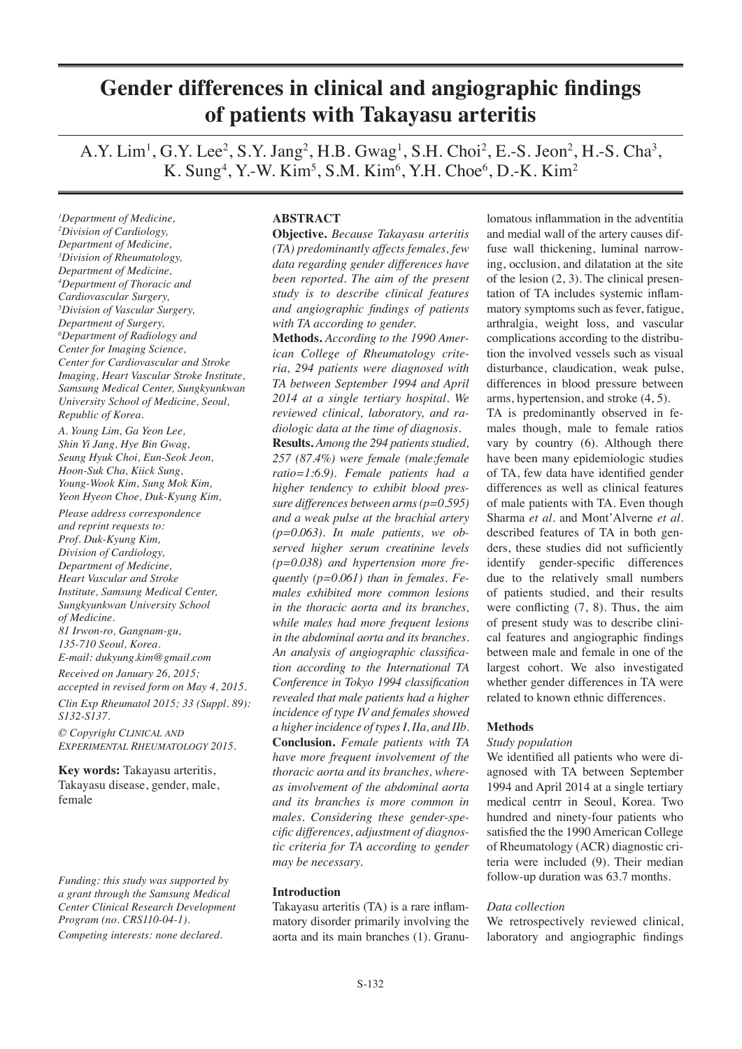# **Gender differences in clinical and angiographic findings of patients with Takayasu arteritis**

A.Y. Lim<sup>1</sup>, G.Y. Lee<sup>2</sup>, S.Y. Jang<sup>2</sup>, H.B. Gwag<sup>1</sup>, S.H. Choi<sup>2</sup>, E.-S. Jeon<sup>2</sup>, H.-S. Cha<sup>3</sup>, K. Sung<sup>4</sup>, Y.-W. Kim<sup>5</sup>, S.M. Kim<sup>6</sup>, Y.H. Choe<sup>6</sup>, D.-K. Kim<sup>2</sup>

*1 Department of Medicine, 2 Division of Cardiology, Department of Medicine, 3 Division of Rheumatology, Department of Medicine, 4 Department of Thoracic and Cardiovascular Surgery, 5 Division of Vascular Surgery, Department of Surgery, 6 Department of Radiology and Center for Imaging Science, Center for Cardiovascular and Stroke Imaging, Heart Vascular Stroke Institute, Samsung Medical Center, Sungkyunkwan University School of Medicine, Seoul, Republic of Korea.*

*A. Young Lim, Ga Yeon Lee, Shin Yi Jang, Hye Bin Gwag, Seung Hyuk Choi, Eun-Seok Jeon, Hoon-Suk Cha, Kiick Sung, Young-Wook Kim, Sung Mok Kim, Yeon Hyeon Choe, Duk-Kyung Kim,* 

*Please address correspondence and reprint requests to: Prof. Duk-Kyung Kim, Division of Cardiology, Department of Medicine, Heart Vascular and Stroke Institute, Samsung Medical Center, Sungkyunkwan University School of Medicine. 81 Irwon-ro, Gangnam-gu, 135-710 Seoul, Korea. E-mail: dukyung.kim@gmail.com*

*Received on January 26, 2015; accepted in revised form on May 4, 2015. Clin Exp Rheumatol 2015; 33 (Suppl. 89): S132-S137.*

*© Copyright Clinical and Experimental Rheumatology 2015.*

**Key words:** Takayasu arteritis, Takayasu disease, gender, male, female

*Funding: this study was supported by a grant through the Samsung Medical Center Clinical Research Development Program (no. CRS110-04-1). Competing interests: none declared.*

# **ABSTRACT**

**Objective.** *Because Takayasu arteritis (TA) predominantly affects females, few data regarding gender differences have been reported. The aim of the present study is to describe clinical features and angiographic findings of patients with TA according to gender.*

**Methods.** *According to the 1990 American College of Rheumatology criteria, 294 patients were diagnosed with TA between September 1994 and April 2014 at a single tertiary hospital. We reviewed clinical, laboratory, and radiologic data at the time of diagnosis.*  **Results.** *Among the 294 patients studied, 257 (87.4%) were female (male:female ratio=1:6.9). Female patients had a higher tendency to exhibit blood pressure differences between arms (p=0.595) and a weak pulse at the brachial artery (p=0.063). In male patients, we observed higher serum creatinine levels (p=0.038) and hypertension more frequently (p=0.061) than in females. Females exhibited more common lesions in the thoracic aorta and its branches, while males had more frequent lesions in the abdominal aorta and its branches. An analysis of angiographic classification according to the International TA Conference in Tokyo 1994 classification revealed that male patients had a higher incidence of type IV and females showed a higher incidence of types I, IIa, and IIb.*  **Conclusion.** *Female patients with TA have more frequent involvement of the thoracic aorta and its branches, whereas involvement of the abdominal aorta and its branches is more common in males. Considering these gender-specific differences, adjustment of diagnostic criteria for TA according to gender may be necessary.* 

## **Introduction**

Takayasu arteritis (TA) is a rare inflammatory disorder primarily involving the aorta and its main branches (1). Granulomatous inflammation in the adventitia and medial wall of the artery causes diffuse wall thickening, luminal narrowing, occlusion, and dilatation at the site of the lesion (2, 3). The clinical presentation of TA includes systemic inflammatory symptoms such as fever, fatigue, arthralgia, weight loss, and vascular complications according to the distribution the involved vessels such as visual disturbance, claudication, weak pulse, differences in blood pressure between arms, hypertension, and stroke (4, 5).

TA is predominantly observed in females though, male to female ratios vary by country (6). Although there have been many epidemiologic studies of TA, few data have identified gender differences as well as clinical features of male patients with TA. Even though Sharma *et al.* and Mont'Alverne *et al.* described features of TA in both genders, these studies did not sufficiently identify gender-specific differences due to the relatively small numbers of patients studied, and their results were conflicting (7, 8). Thus, the aim of present study was to describe clinical features and angiographic findings between male and female in one of the largest cohort. We also investigated whether gender differences in TA were related to known ethnic differences.

## **Methods**

## *Study population*

We identified all patients who were diagnosed with TA between September 1994 and April 2014 at a single tertiary medical centrr in Seoul, Korea. Two hundred and ninety-four patients who satisfied the the 1990 American College of Rheumatology (ACR) diagnostic criteria were included (9). Their median follow-up duration was 63.7 months.

## *Data collection*

We retrospectively reviewed clinical, laboratory and angiographic findings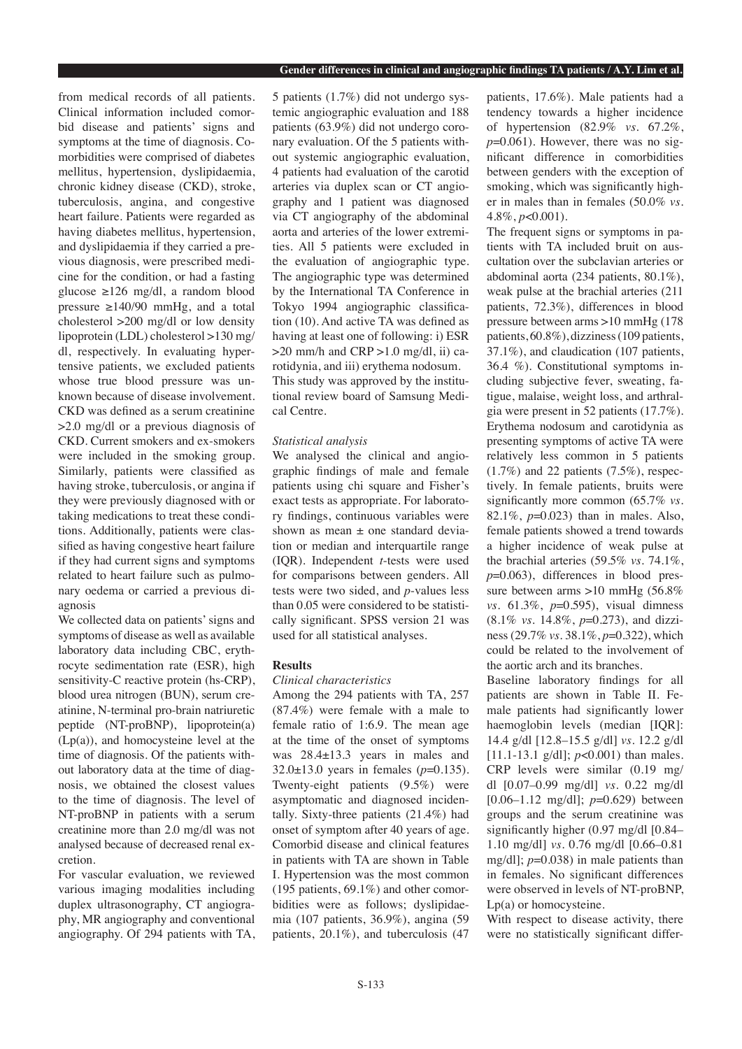from medical records of all patients. Clinical information included comorbid disease and patients' signs and symptoms at the time of diagnosis. Comorbidities were comprised of diabetes mellitus, hypertension, dyslipidaemia, chronic kidney disease (CKD), stroke, tuberculosis, angina, and congestive heart failure. Patients were regarded as having diabetes mellitus, hypertension, and dyslipidaemia if they carried a previous diagnosis, were prescribed medicine for the condition, or had a fasting glucose ≥126 mg/dl, a random blood pressure ≥140/90 mmHg, and a total cholesterol >200 mg/dl or low density lipoprotein (LDL) cholesterol >130 mg/ dl, respectively. In evaluating hypertensive patients, we excluded patients whose true blood pressure was unknown because of disease involvement. CKD was defined as a serum creatinine >2.0 mg/dl or a previous diagnosis of CKD. Current smokers and ex-smokers were included in the smoking group. Similarly, patients were classified as having stroke, tuberculosis, or angina if they were previously diagnosed with or taking medications to treat these conditions. Additionally, patients were classified as having congestive heart failure if they had current signs and symptoms related to heart failure such as pulmonary oedema or carried a previous diagnosis

We collected data on patients' signs and symptoms of disease as well as available laboratory data including CBC, erythrocyte sedimentation rate (ESR), high sensitivity-C reactive protein (hs-CRP), blood urea nitrogen (BUN), serum creatinine, N-terminal pro-brain natriuretic peptide (NT-proBNP), lipoprotein(a) (Lp(a)), and homocysteine level at the time of diagnosis. Of the patients without laboratory data at the time of diagnosis, we obtained the closest values to the time of diagnosis. The level of NT-proBNP in patients with a serum creatinine more than 2.0 mg/dl was not analysed because of decreased renal excretion.

For vascular evaluation, we reviewed various imaging modalities including duplex ultrasonography, CT angiography, MR angiography and conventional angiography. Of 294 patients with TA, 5 patients (1.7%) did not undergo systemic angiographic evaluation and 188 patients (63.9%) did not undergo coronary evaluation. Of the 5 patients without systemic angiographic evaluation, 4 patients had evaluation of the carotid arteries via duplex scan or CT angiography and 1 patient was diagnosed via CT angiography of the abdominal aorta and arteries of the lower extremities. All 5 patients were excluded in the evaluation of angiographic type. The angiographic type was determined by the International TA Conference in Tokyo 1994 angiographic classification (10). And active TA was defined as having at least one of following: i) ESR  $>20$  mm/h and CRP  $>1.0$  mg/dl, ii) carotidynia, and iii) erythema nodosum. This study was approved by the institutional review board of Samsung Medical Centre.

## *Statistical analysis*

We analysed the clinical and angiographic findings of male and female patients using chi square and Fisher's exact tests as appropriate. For laboratory findings, continuous variables were shown as mean ± one standard deviation or median and interquartile range (IQR). Independent *t*-tests were used for comparisons between genders. All tests were two sided, and *p*-values less than 0.05 were considered to be statistically significant. SPSS version 21 was used for all statistical analyses.

# **Results**

## *Clinical characteristics*

Among the 294 patients with TA, 257 (87.4%) were female with a male to female ratio of 1:6.9. The mean age at the time of the onset of symptoms was 28.4±13.3 years in males and 32.0±13.0 years in females (*p*=0.135). Twenty-eight patients (9.5%) were asymptomatic and diagnosed incidentally. Sixty-three patients (21.4%) had onset of symptom after 40 years of age. Comorbid disease and clinical features in patients with TA are shown in Table I. Hypertension was the most common (195 patients, 69.1%) and other comorbidities were as follows; dyslipidaemia (107 patients, 36.9%), angina (59 patients, 20.1%), and tuberculosis (47

patients, 17.6%). Male patients had a tendency towards a higher incidence of hypertension (82.9% *vs.* 67.2%,  $p=0.061$ ). However, there was no significant difference in comorbidities between genders with the exception of smoking, which was significantly higher in males than in females (50.0% *vs.*  4.8%, *p*<0.001).

The frequent signs or symptoms in patients with TA included bruit on auscultation over the subclavian arteries or abdominal aorta (234 patients, 80.1%), weak pulse at the brachial arteries (211 patients, 72.3%), differences in blood pressure between arms >10 mmHg (178 patients, 60.8%), dizziness (109 patients, 37.1%), and claudication (107 patients, 36.4 %). Constitutional symptoms including subjective fever, sweating, fatigue, malaise, weight loss, and arthralgia were present in 52 patients (17.7%). Erythema nodosum and carotidynia as presenting symptoms of active TA were relatively less common in 5 patients  $(1.7\%)$  and 22 patients  $(7.5\%)$ , respectively. In female patients, bruits were significantly more common (65.7% *vs.* 82.1%, *p*=0.023) than in males. Also, female patients showed a trend towards a higher incidence of weak pulse at the brachial arteries (59.5% *vs.* 74.1%, *p*=0.063), differences in blood pressure between arms >10 mmHg (56.8%) *vs.* 61.3%, *p*=0.595), visual dimness (8.1% *vs.* 14.8%, *p*=0.273), and dizziness (29.7% *vs.* 38.1%, *p*=0.322), which could be related to the involvement of the aortic arch and its branches.

Baseline laboratory findings for all patients are shown in Table II. Female patients had significantly lower haemoglobin levels (median [IQR]: 14.4 g/dl [12.8–15.5 g/dl] *vs.* 12.2 g/dl [11.1-13.1 g/dl]; *p*<0.001) than males. CRP levels were similar (0.19 mg/ dl [0.07–0.99 mg/dl] *vs.* 0.22 mg/dl [0.06–1.12 mg/dl]; *p*=0.629) between groups and the serum creatinine was significantly higher (0.97 mg/dl [0.84– 1.10 mg/dl] *vs.* 0.76 mg/dl [0.66–0.81 mg/dl]; *p*=0.038) in male patients than in females. No significant differences were observed in levels of NT-proBNP, Lp(a) or homocysteine.

With respect to disease activity, there were no statistically significant differ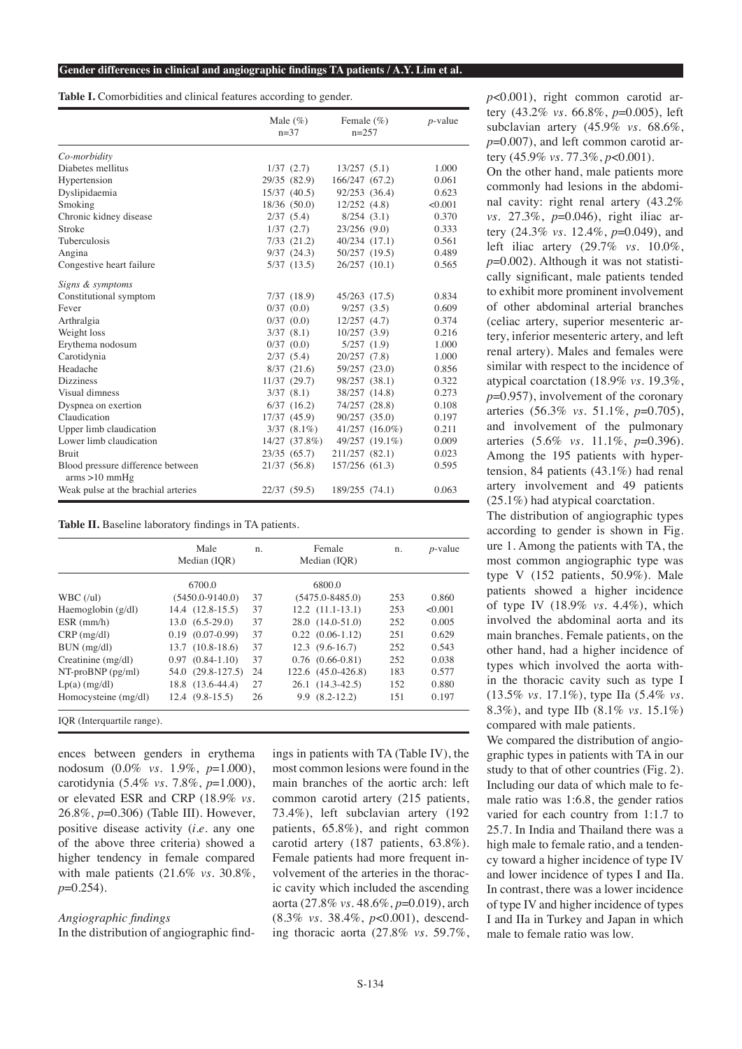**Table I.** Comorbidities and clinical features according to gender.

|                                                     | Male $(\%)$<br>$n=37$ | Female $(\% )$<br>$n=257$ |                | $p$ -value |
|-----------------------------------------------------|-----------------------|---------------------------|----------------|------------|
| Co-morbidity                                        |                       |                           |                |            |
| Diabetes mellitus                                   | 1/37(2.7)             | 13/257(5.1)               |                | 1.000      |
| Hypertension                                        | 29/35 (82.9)          | 166/247 (67.2)            |                | 0.061      |
| Dyslipidaemia                                       | 15/37(40.5)           | 92/253 (36.4)             |                | 0.623      |
| Smoking                                             | 18/36 (50.0)          | 12/252(4.8)               |                | < 0.001    |
| Chronic kidney disease                              | 2/37(5.4)             | 8/254(3.1)                |                | 0.370      |
| Stroke                                              | 1/37(2.7)             | 23/256(9.0)               |                | 0.333      |
| Tuberculosis                                        | $7/33$ $(21.2)$       | 40/234 (17.1)             |                | 0.561      |
| Angina                                              | 9/37(24.3)            | 50/257 (19.5)             |                | 0.489      |
| Congestive heart failure                            | 5/37(13.5)            | $26/257$ $(10.1)$         |                | 0.565      |
| Signs & symptoms                                    |                       |                           |                |            |
| Constitutional symptom                              | 7/37(18.9)            | 45/263 (17.5)             |                | 0.834      |
| Fever                                               | 0/37(0.0)             | 9/257(3.5)                |                | 0.609      |
| Arthralgia                                          | 0/37(0.0)             | 12/257(4.7)               |                | 0.374      |
| Weight loss                                         | 3/37(8.1)             | 10/257(3.9)               |                | 0.216      |
| Erythema nodosum                                    | 0/37(0.0)             | 5/257(1.9)                |                | 1.000      |
| Carotidynia                                         | 2/37(5.4)             | 20/257 (7.8)              |                | 1.000      |
| Headache                                            | 8/37(21.6)            | 59/257 (23.0)             |                | 0.856      |
| <b>Dizziness</b>                                    | 11/37(29.7)           | 98/257 (38.1)             |                | 0.322      |
| Visual dimness                                      | 3/37(8.1)             | 38/257 (14.8)             |                | 0.273      |
| Dyspnea on exertion                                 | $6/37$ $(16.2)$       | 74/257 (28.8)             |                | 0.108      |
| Claudication                                        | 17/37 (45.9)          | 90/257 (35.0)             |                | 0.197      |
| Upper limb claudication                             | $3/37(8.1\%)$         |                           | 41/257 (16.0%) | 0.211      |
| Lower limb claudication                             | 14/27 (37.8%)         |                           | 49/257 (19.1%) | 0.009      |
| <b>Bruit</b>                                        | 23/35(65.7)           | 211/257 (82.1)            |                | 0.023      |
| Blood pressure difference between<br>arms > 10 mmHg | 21/37 (56.8)          | 157/256 (61.3)            |                | 0.595      |
| Weak pulse at the brachial arteries                 | 22/37 (59.5)          | 189/255 (74.1)            |                | 0.063      |

**Table II.** Baseline laboratory findings in TA patients.

|                         | Male<br>Median (IOR) | n. | Female<br>Median (IOR) | n.  | $p$ -value |
|-------------------------|----------------------|----|------------------------|-----|------------|
|                         | 6700.0               |    | 6800.0                 |     |            |
| WBC (lul)               | $(5450.0 - 9140.0)$  | 37 | $(5475.0 - 8485.0)$    | 253 | 0.860      |
| Haemoglobin $(g/dl)$    | $14.4$ $(12.8-15.5)$ | 37 | $12.2$ $(11.1-13.1)$   | 253 | < 0.001    |
| $ESR$ (mm/h)            | $13.0(6.5-29.0)$     | 37 | 28.0 (14.0-51.0)       | 252 | 0.005      |
| $CRP$ (mg/dl)           | $0.19$ $(0.07-0.99)$ | 37 | $0.22$ $(0.06-1.12)$   | 251 | 0.629      |
| $BUN$ (mg/dl)           | $13.7(10.8-18.6)$    | 37 | $12.3(9.6-16.7)$       | 252 | 0.543      |
| Creatinine $(mg/dl)$    | $0.97$ $(0.84-1.10)$ | 37 | $0.76$ $(0.66-0.81)$   | 252 | 0.038      |
| $NT-proBNP$ ( $pg/ml$ ) | 54.0 (29.8-127.5)    | 24 | 122.6 (45.0-426.8)     | 183 | 0.577      |
| $Lp(a)$ (mg/dl)         | 18.8 (13.6-44.4)     | 27 | $26.1(14.3-42.5)$      | 152 | 0.880      |
| Homocysteine (mg/dl)    | $12.4(9.8-15.5)$     | 26 | 9.9 (8.2-12.2)         | 151 | 0.197      |

ences between genders in erythema nodosum (0.0% *vs.* 1.9%, *p*=1.000), carotidynia (5.4% *vs.* 7.8%, *p*=1.000), or elevated ESR and CRP (18.9% *vs.*  26.8%, *p*=0.306) (Table III). However, positive disease activity (*i.e.* any one of the above three criteria) showed a higher tendency in female compared with male patients (21.6% *vs.* 30.8%, *p*=0.254).

## *Angiographic findings* In the distribution of angiographic find-

ings in patients with TA (Table IV), the most common lesions were found in the main branches of the aortic arch: left common carotid artery (215 patients, 73.4%), left subclavian artery (192 patients, 65.8%), and right common carotid artery (187 patients, 63.8%). Female patients had more frequent involvement of the arteries in the thoracic cavity which included the ascending aorta (27.8% *vs.* 48.6%, *p*=0.019), arch (8.3% *vs.* 38.4%, *p*<0.001), descending thoracic aorta (27.8% *vs.* 59.7%,

*p*<0.001), right common carotid artery (43.2% *vs.* 66.8%, *p*=0.005), left subclavian artery (45.9% *vs.* 68.6%, *p*=0.007), and left common carotid artery (45.9% *vs.* 77.3%, *p*<0.001).

On the other hand, male patients more commonly had lesions in the abdominal cavity: right renal artery (43.2% *vs.* 27.3%, *p*=0.046), right iliac artery (24.3% *vs.* 12.4%, *p*=0.049), and left iliac artery (29.7% *vs.* 10.0%, *p*=0.002). Although it was not statistically significant, male patients tended to exhibit more prominent involvement of other abdominal arterial branches (celiac artery, superior mesenteric artery, inferior mesenteric artery, and left renal artery). Males and females were similar with respect to the incidence of atypical coarctation (18.9% *vs.* 19.3%, *p*=0.957), involvement of the coronary arteries (56.3% *vs.* 51.1%, *p*=0.705), and involvement of the pulmonary arteries (5.6% *vs.* 11.1%, *p*=0.396). Among the 195 patients with hypertension, 84 patients (43.1%) had renal artery involvement and 49 patients (25.1%) had atypical coarctation.

The distribution of angiographic types according to gender is shown in Fig. ure 1. Among the patients with TA, the most common angiographic type was type V (152 patients, 50.9%). Male patients showed a higher incidence of type IV (18.9% *vs.* 4.4%), which involved the abdominal aorta and its main branches. Female patients, on the other hand, had a higher incidence of types which involved the aorta within the thoracic cavity such as type I (13.5% *vs.* 17.1%), type IIa (5.4% *vs.* 8.3%), and type IIb (8.1% *vs.* 15.1%) compared with male patients.

We compared the distribution of angiographic types in patients with TA in our study to that of other countries (Fig. 2). Including our data of which male to female ratio was 1:6.8, the gender ratios varied for each country from 1:1.7 to 25.7. In India and Thailand there was a high male to female ratio, and a tendency toward a higher incidence of type IV and lower incidence of types I and IIa. In contrast, there was a lower incidence of type IV and higher incidence of types I and IIa in Turkey and Japan in which male to female ratio was low.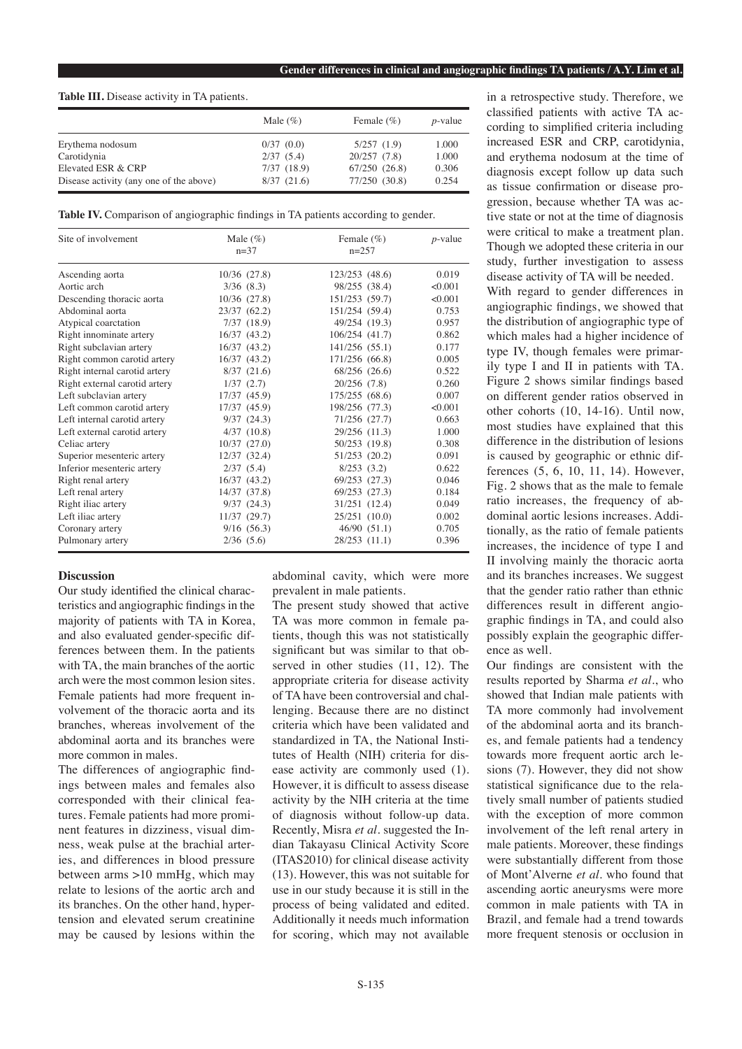#### **Table III.** Disease activity in TA patients.

|                                         | Male $(\%)$ | Female $(\%)$ | $p$ -value |
|-----------------------------------------|-------------|---------------|------------|
| Erythema nodosum                        | 0/37(0.0)   | 5/257(1.9)    | 1.000      |
| Carotidynia                             | 2/37(5.4)   | 20/257(7.8)   | 1.000      |
| Elevated ESR & CRP                      | 7/37(18.9)  | 67/250 (26.8) | 0.306      |
| Disease activity (any one of the above) | 8/37(21.6)  | 77/250 (30.8) | 0.254      |

**Table IV.** Comparison of angiographic findings in TA patients according to gender.

| Site of involvement           | Male $(\%)$<br>$n = 37$ | Female $(\%)$<br>$n=2.57$ | $p$ -value |
|-------------------------------|-------------------------|---------------------------|------------|
| Ascending aorta               | $10/36$ $(27.8)$        | 123/253 (48.6)            | 0.019      |
| Aortic arch                   | 3/36(8.3)               | 98/255 (38.4)             | < 0.001    |
| Descending thoracic aorta     | $10/36$ $(27.8)$        | 151/253 (59.7)            | < 0.001    |
| Abdominal aorta               | 23/37(62.2)             | 151/254 (59.4)            | 0.753      |
| Atypical coarctation          | 7/37(18.9)              | 49/254 (19.3)             | 0.957      |
| Right innominate artery       | 16/37(43.2)             | 106/254 (41.7)            | 0.862      |
| Right subclavian artery       | 16/37(43.2)             | 141/256 (55.1)            | 0.177      |
| Right common carotid artery   | 16/37(43.2)             | 171/256 (66.8)            | 0.005      |
| Right internal carotid artery | 8/37(21.6)              | 68/256 (26.6)             | 0.522      |
| Right external carotid artery | 1/37(2.7)               | 20/256 (7.8)              | 0.260      |
| Left subclavian artery        | 17/37 (45.9)            | 175/255 (68.6)            | 0.007      |
| Left common carotid artery    | 17/37 (45.9)            | 198/256 (77.3)            | < 0.001    |
| Left internal carotid artery  | 9/37(24.3)              | 71/256 (27.7)             | 0.663      |
| Left external carotid artery  | $4/37$ $(10.8)$         | 29/256 (11.3)             | 1.000      |
| Celiac artery                 | 10/37(27.0)             | 50/253 (19.8)             | 0.308      |
| Superior mesenteric artery    | 12/37(32.4)             | 51/253 (20.2)             | 0.091      |
| Inferior mesenteric artery    | 2/37(5.4)               | 8/253(3.2)                | 0.622      |
| Right renal artery            | 16/37(43.2)             | 69/253 (27.3)             | 0.046      |
| Left renal artery             | 14/37 (37.8)            | 69/253 (27.3)             | 0.184      |
| Right iliac artery            | 9/37(24.3)              | 31/251 (12.4)             | 0.049      |
| Left iliac artery             | 11/37 (29.7)            | 25/251 (10.0)             | 0.002      |
| Coronary artery               | 9/16(56.3)              | 46/90 (51.1)              | 0.705      |
| Pulmonary artery              | 2/36(5.6)               | 28/253 (11.1)             | 0.396      |

#### **Discussion**

Our study identified the clinical characteristics and angiographic findings in the majority of patients with TA in Korea, and also evaluated gender-specific differences between them. In the patients with TA, the main branches of the aortic arch were the most common lesion sites. Female patients had more frequent involvement of the thoracic aorta and its branches, whereas involvement of the abdominal aorta and its branches were more common in males.

The differences of angiographic findings between males and females also corresponded with their clinical features. Female patients had more prominent features in dizziness, visual dimness, weak pulse at the brachial arteries, and differences in blood pressure between arms >10 mmHg, which may relate to lesions of the aortic arch and its branches. On the other hand, hypertension and elevated serum creatinine may be caused by lesions within the

abdominal cavity, which were more prevalent in male patients.

The present study showed that active TA was more common in female patients, though this was not statistically significant but was similar to that observed in other studies (11, 12). The appropriate criteria for disease activity of TA have been controversial and challenging. Because there are no distinct criteria which have been validated and standardized in TA, the National Institutes of Health (NIH) criteria for disease activity are commonly used (1). However, it is difficult to assess disease activity by the NIH criteria at the time of diagnosis without follow-up data. Recently, Misra *et al*. suggested the Indian Takayasu Clinical Activity Score (ITAS2010) for clinical disease activity (13). However, this was not suitable for use in our study because it is still in the process of being validated and edited. Additionally it needs much information for scoring, which may not available

in a retrospective study. Therefore, we classified patients with active TA according to simplified criteria including increased ESR and CRP, carotidynia, and erythema nodosum at the time of diagnosis except follow up data such as tissue confirmation or disease progression, because whether TA was active state or not at the time of diagnosis were critical to make a treatment plan. Though we adopted these criteria in our study, further investigation to assess disease activity of TA will be needed.

With regard to gender differences in angiographic findings, we showed that the distribution of angiographic type of which males had a higher incidence of type IV, though females were primarily type I and II in patients with TA. Figure 2 shows similar findings based on different gender ratios observed in other cohorts (10, 14-16). Until now, most studies have explained that this difference in the distribution of lesions is caused by geographic or ethnic differences (5, 6, 10, 11, 14). However, Fig. 2 shows that as the male to female ratio increases, the frequency of abdominal aortic lesions increases. Additionally, as the ratio of female patients increases, the incidence of type I and II involving mainly the thoracic aorta and its branches increases. We suggest that the gender ratio rather than ethnic differences result in different angiographic findings in TA, and could also possibly explain the geographic difference as well.

Our findings are consistent with the results reported by Sharma *et al*., who showed that Indian male patients with TA more commonly had involvement of the abdominal aorta and its branches, and female patients had a tendency towards more frequent aortic arch lesions (7). However, they did not show statistical significance due to the relatively small number of patients studied with the exception of more common involvement of the left renal artery in male patients. Moreover, these findings were substantially different from those of Mont'Alverne *et al.* who found that ascending aortic aneurysms were more common in male patients with TA in Brazil, and female had a trend towards more frequent stenosis or occlusion in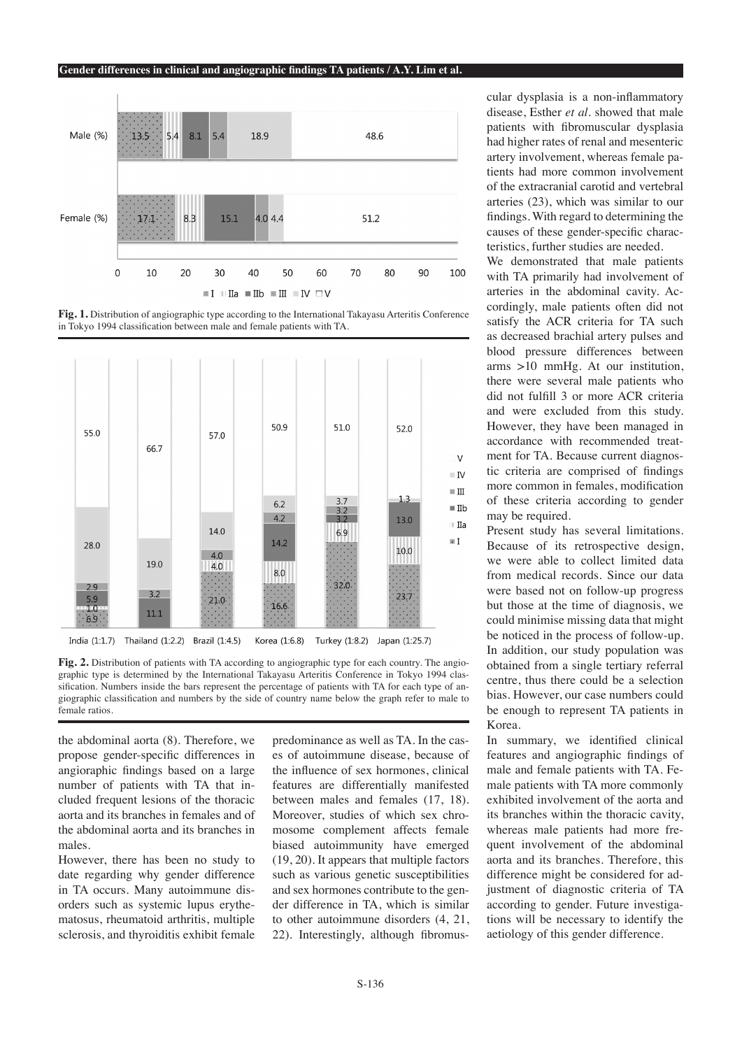#### **Gender differences in clinical and angiographic findings TA patients / A.Y. Lim et al.**



**Fig. 1.** Distribution of angiographic type according to the International Takayasu Arteritis Conference in Tokyo 1994 classification between male and female patients with TA.



**Fig. 2.** Distribution of patients with TA according to angiographic type for each country. The angiographic type is determined by the International Takayasu Arteritis Conference in Tokyo 1994 classification. Numbers inside the bars represent the percentage of patients with TA for each type of angiographic classification and numbers by the side of country name below the graph refer to male to female ratios.

the abdominal aorta (8). Therefore, we propose gender-specific differences in angioraphic findings based on a large number of patients with TA that included frequent lesions of the thoracic aorta and its branches in females and of the abdominal aorta and its branches in males.

However, there has been no study to date regarding why gender difference in TA occurs. Many autoimmune disorders such as systemic lupus erythematosus, rheumatoid arthritis, multiple sclerosis, and thyroiditis exhibit female predominance as well as TA. In the cases of autoimmune disease, because of the influence of sex hormones, clinical features are differentially manifested between males and females (17, 18). Moreover, studies of which sex chromosome complement affects female biased autoimmunity have emerged (19, 20). It appears that multiple factors such as various genetic susceptibilities and sex hormones contribute to the gender difference in TA, which is similar to other autoimmune disorders (4, 21, 22). Interestingly, although fibromuscular dysplasia is a non-inflammatory disease, Esther *et al*. showed that male patients with fibromuscular dysplasia had higher rates of renal and mesenteric artery involvement, whereas female patients had more common involvement of the extracranial carotid and vertebral arteries (23), which was similar to our findings. With regard to determining the causes of these gender-specific characteristics, further studies are needed.

We demonstrated that male patients with TA primarily had involvement of arteries in the abdominal cavity. Accordingly, male patients often did not satisfy the ACR criteria for TA such as decreased brachial artery pulses and blood pressure differences between arms >10 mmHg. At our institution, there were several male patients who did not fulfill 3 or more ACR criteria and were excluded from this study. However, they have been managed in accordance with recommended treatment for TA. Because current diagnostic criteria are comprised of findings more common in females, modification of these criteria according to gender may be required.

Present study has several limitations. Because of its retrospective design, we were able to collect limited data from medical records. Since our data were based not on follow-up progress but those at the time of diagnosis, we could minimise missing data that might be noticed in the process of follow-up. In addition, our study population was obtained from a single tertiary referral centre, thus there could be a selection bias. However, our case numbers could be enough to represent TA patients in Korea.

In summary, we identified clinical features and angiographic findings of male and female patients with TA. Female patients with TA more commonly exhibited involvement of the aorta and its branches within the thoracic cavity, whereas male patients had more frequent involvement of the abdominal aorta and its branches. Therefore, this difference might be considered for adjustment of diagnostic criteria of TA according to gender. Future investigations will be necessary to identify the aetiology of this gender difference.